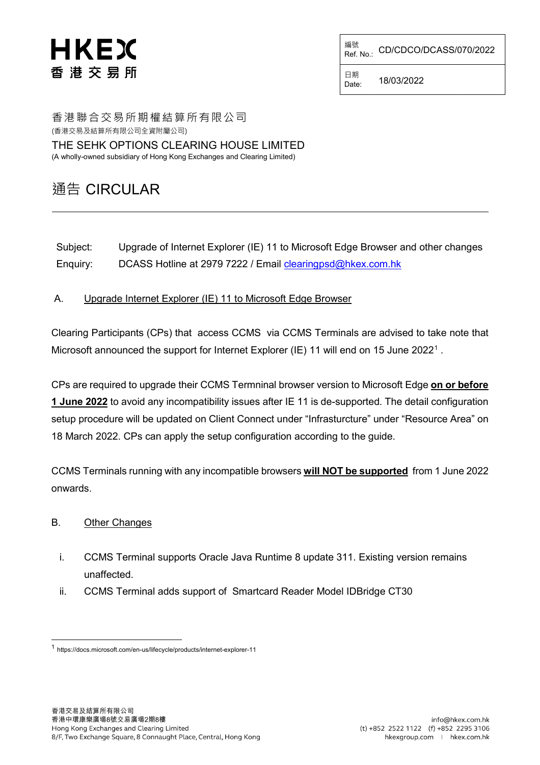## HKEX 香港交易所

編號<br>Ref. No.: CD/CDCO/DCASS/070/2022

日期<br>Date: Date: 18/03/2022

香港聯合交易所期權結算所有限公司 (香港交易及結算所有限公司全資附屬公司)

THE SEHK OPTIONS CLEARING HOUSE LIMITED (A wholly-owned subsidiary of Hong Kong Exchanges and Clearing Limited)

## 通告 CIRCULAR

Subject: Upgrade of Internet Explorer (IE) 11 to Microsoft Edge Browser and other changes Enquiry: DCASS Hotline at 2979 7222 / Email [clearingpsd@hkex.com.hk](mailto:clearingpsd@hkex.com.hk)

A. Upgrade Internet Explorer (IE) 11 to Microsoft Edge Browser

Clearing Participants (CPs) that access CCMS via CCMS Terminals are advised to take note that Microsoft announced the support for Internet Explorer (IE) [1](#page-0-0)1 will end on 15 June 2022<sup>1</sup>.

CPs are required to upgrade their CCMS Termninal browser version to Microsoft Edge **on or before 1 June 2022** to avoid any incompatibility issues after IE 11 is de-supported. The detail configuration setup procedure will be updated on Client Connect under "Infrasturcture" under "Resource Area" on 18 March 2022. CPs can apply the setup configuration according to the guide.

CCMS Terminals running with any incompatible browsers **will NOT be supported** from 1 June 2022 onwards.

## B. Other Changes

- i. CCMS Terminal supports Oracle Java Runtime 8 update 311. Existing version remains unaffected.
- ii. CCMS Terminal adds support of Smartcard Reader Model IDBridge CT30

<span id="page-0-0"></span> <sup>1</sup> https://docs.microsoft.com/en-us/lifecycle/products/internet-explorer-11